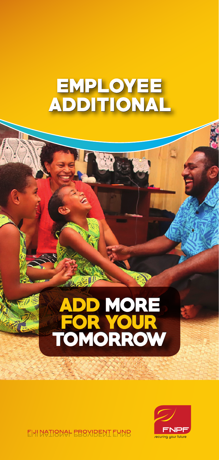## **EMPLOYEE** ADDITIONAL

# **ADD MORE<br>FOR YOUR<br>TOMORROW**  $\blacksquare$



EHI NATIONAL EBOXIRENT EUNR